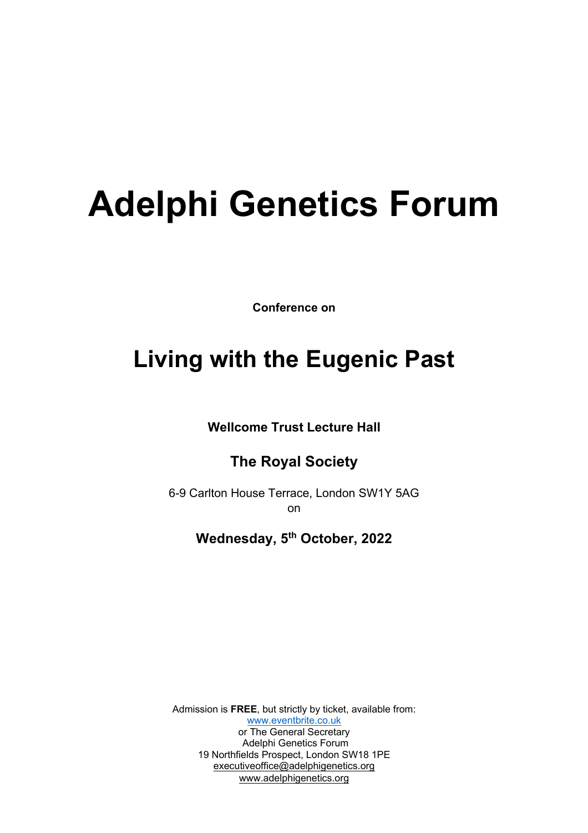# **Adelphi Genetics Forum**

**Conference on** 

## **Living with the Eugenic Past**

**Wellcome Trust Lecture Hall** 

#### **The Royal Society**

6-9 Carlton House Terrace, London SW1Y 5AG on

#### **Wednesday, 5th October, 2022**

Admission is **FREE**, but strictly by ticket, available from: www.eventbrite.co.uk or The General Secretary Adelphi Genetics Forum 19 Northfields Prospect, London SW18 1PE executiveoffice@adelphigenetics.org www.adelphigenetics.org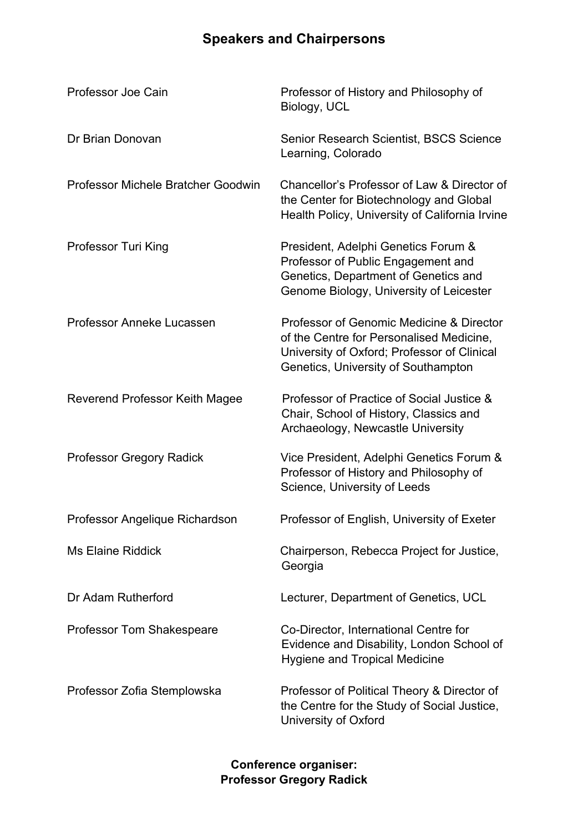### **Speakers and Chairpersons**

| Professor Joe Cain                        | Professor of History and Philosophy of<br>Biology, UCL                                                                                                                     |
|-------------------------------------------|----------------------------------------------------------------------------------------------------------------------------------------------------------------------------|
| Dr Brian Donovan                          | Senior Research Scientist, BSCS Science<br>Learning, Colorado                                                                                                              |
| <b>Professor Michele Bratcher Goodwin</b> | Chancellor's Professor of Law & Director of<br>the Center for Biotechnology and Global<br>Health Policy, University of California Irvine                                   |
| <b>Professor Turi King</b>                | President, Adelphi Genetics Forum &<br>Professor of Public Engagement and<br>Genetics, Department of Genetics and<br>Genome Biology, University of Leicester               |
| Professor Anneke Lucassen                 | Professor of Genomic Medicine & Director<br>of the Centre for Personalised Medicine,<br>University of Oxford; Professor of Clinical<br>Genetics, University of Southampton |
| Reverend Professor Keith Magee            | Professor of Practice of Social Justice &<br>Chair, School of History, Classics and<br>Archaeology, Newcastle University                                                   |
| <b>Professor Gregory Radick</b>           | Vice President, Adelphi Genetics Forum &<br>Professor of History and Philosophy of<br>Science, University of Leeds                                                         |
| Professor Angelique Richardson            | Professor of English, University of Exeter                                                                                                                                 |
| <b>Ms Elaine Riddick</b>                  | Chairperson, Rebecca Project for Justice,<br>Georgia                                                                                                                       |
| Dr Adam Rutherford                        | Lecturer, Department of Genetics, UCL                                                                                                                                      |
| <b>Professor Tom Shakespeare</b>          | Co-Director, International Centre for<br>Evidence and Disability, London School of<br><b>Hygiene and Tropical Medicine</b>                                                 |
| Professor Zofia Stemplowska               | Professor of Political Theory & Director of<br>the Centre for the Study of Social Justice,<br>University of Oxford                                                         |

**Conference organiser: Professor Gregory Radick**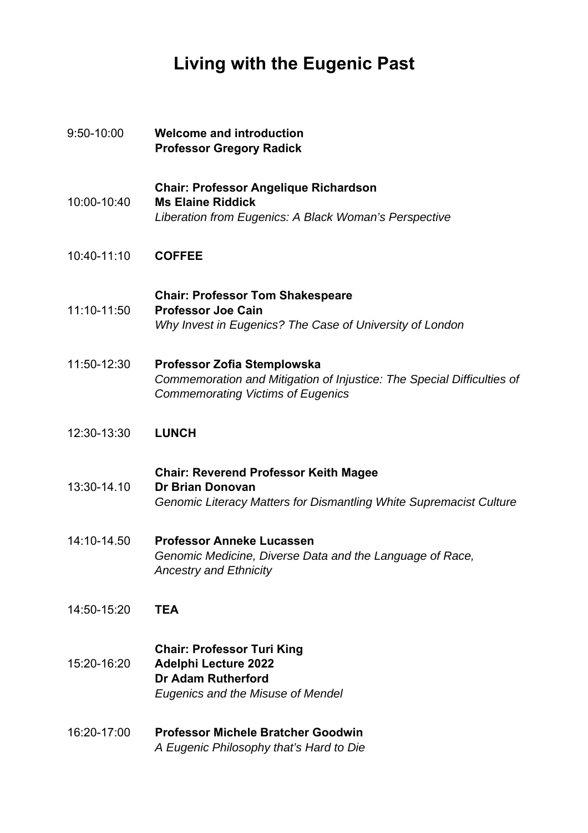## **Living with the Eugenic Past**

| 9:50-10:00  | <b>Welcome and introduction</b><br><b>Professor Gregory Radick</b>                                                                                |
|-------------|---------------------------------------------------------------------------------------------------------------------------------------------------|
| 10:00-10:40 | <b>Chair: Professor Angelique Richardson</b><br><b>Ms Elaine Riddick</b><br>Liberation from Eugenics: A Black Woman's Perspective                 |
| 10:40-11:10 | <b>COFFEE</b>                                                                                                                                     |
| 11:10-11:50 | <b>Chair: Professor Tom Shakespeare</b><br><b>Professor Joe Cain</b><br>Why Invest in Eugenics? The Case of University of London                  |
| 11:50-12:30 | Professor Zofia Stemplowska<br>Commemoration and Mitigation of Injustice: The Special Difficulties of<br><b>Commemorating Victims of Eugenics</b> |
| 12:30-13:30 | <b>LUNCH</b>                                                                                                                                      |
| 13:30-14.10 | <b>Chair: Reverend Professor Keith Magee</b><br><b>Dr Brian Donovan</b><br>Genomic Literacy Matters for Dismantling White Supremacist Culture     |
| 14:10-14.50 | <b>Professor Anneke Lucassen</b><br>Genomic Medicine, Diverse Data and the Language of Race,<br><b>Ancestry and Ethnicity</b>                     |
| 14:50-15:20 | <b>TEA</b>                                                                                                                                        |
| 15:20-16:20 | <b>Chair: Professor Turi King</b><br><b>Adelphi Lecture 2022</b><br><b>Dr Adam Rutherford</b><br>Eugenics and the Misuse of Mendel                |
| 16:20-17:00 | <b>Professor Michele Bratcher Goodwin</b><br>A Eugenic Philosophy that's Hard to Die                                                              |